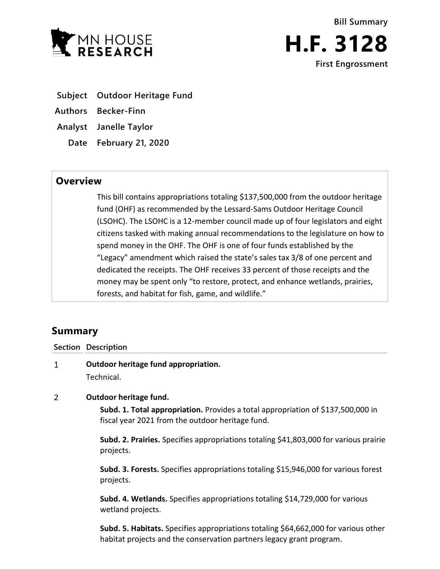

- **Subject Outdoor Heritage Fund**
- **Authors Becker-Finn**
- **Analyst Janelle Taylor**
	- **Date February 21, 2020**

# **Overview**

This bill contains appropriations totaling \$137,500,000 from the outdoor heritage fund (OHF) as recommended by the Lessard-Sams Outdoor Heritage Council (LSOHC). The LSOHC is a 12-member council made up of four legislators and eight citizens tasked with making annual recommendations to the legislature on how to spend money in the OHF. The OHF is one of four funds established by the "Legacy" amendment which raised the state's sales tax 3/8 of one percent and dedicated the receipts. The OHF receives 33 percent of those receipts and the money may be spent only "to restore, protect, and enhance wetlands, prairies, forests, and habitat for fish, game, and wildlife."

# **Summary**

## **Section Description**

 $\mathbf{1}$ **Outdoor heritage fund appropriation.** Technical.

#### $\overline{2}$ **Outdoor heritage fund.**

**Subd. 1. Total appropriation.** Provides a total appropriation of \$137,500,000 in fiscal year 2021 from the outdoor heritage fund.

**Subd. 2. Prairies.** Specifies appropriations totaling \$41,803,000 for various prairie projects.

**Subd. 3. Forests.** Specifies appropriations totaling \$15,946,000 for various forest projects.

**Subd. 4. Wetlands.** Specifies appropriations totaling \$14,729,000 for various wetland projects.

**Subd. 5. Habitats.** Specifies appropriations totaling \$64,662,000 for various other habitat projects and the conservation partners legacy grant program.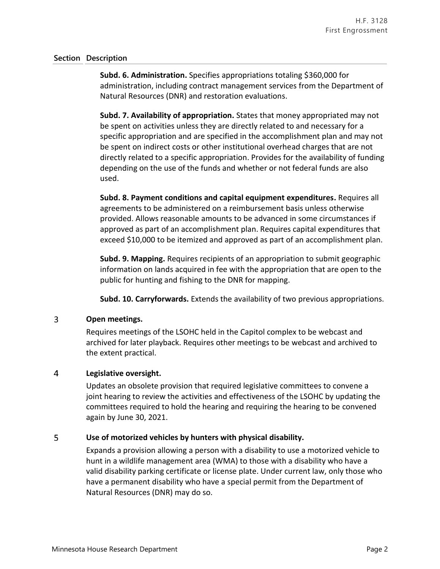### **Section Description**

**Subd. 6. Administration.** Specifies appropriations totaling \$360,000 for administration, including contract management services from the Department of Natural Resources (DNR) and restoration evaluations.

**Subd. 7. Availability of appropriation.** States that money appropriated may not be spent on activities unless they are directly related to and necessary for a specific appropriation and are specified in the accomplishment plan and may not be spent on indirect costs or other institutional overhead charges that are not directly related to a specific appropriation. Provides for the availability of funding depending on the use of the funds and whether or not federal funds are also used.

**Subd. 8. Payment conditions and capital equipment expenditures.** Requires all agreements to be administered on a reimbursement basis unless otherwise provided. Allows reasonable amounts to be advanced in some circumstances if approved as part of an accomplishment plan. Requires capital expenditures that exceed \$10,000 to be itemized and approved as part of an accomplishment plan.

**Subd. 9. Mapping.** Requires recipients of an appropriation to submit geographic information on lands acquired in fee with the appropriation that are open to the public for hunting and fishing to the DNR for mapping.

**Subd. 10. Carryforwards.** Extends the availability of two previous appropriations.

#### 3 **Open meetings.**

Requires meetings of the LSOHC held in the Capitol complex to be webcast and archived for later playback. Requires other meetings to be webcast and archived to the extent practical.

#### $\overline{4}$ **Legislative oversight.**

Updates an obsolete provision that required legislative committees to convene a joint hearing to review the activities and effectiveness of the LSOHC by updating the committees required to hold the hearing and requiring the hearing to be convened again by June 30, 2021.

#### 5 **Use of motorized vehicles by hunters with physical disability.**

Expands a provision allowing a person with a disability to use a motorized vehicle to hunt in a wildlife management area (WMA) to those with a disability who have a valid disability parking certificate or license plate. Under current law, only those who have a permanent disability who have a special permit from the Department of Natural Resources (DNR) may do so.